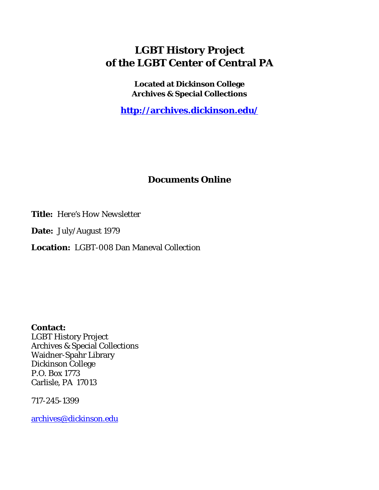# **LGBT History Project of the LGBT Center of Central PA**

**Located at Dickinson College Archives & Special Collections**

**<http://archives.dickinson.edu/>**

## **Documents Online**

**Title:** *Here's How Newsletter*

**Date:** July/August 1979

**Location:** LGBT-008 Dan Maneval Collection

**Contact:**  LGBT History Project Archives & Special Collections Waidner-Spahr Library Dickinson College P.O. Box 1773 Carlisle, PA 17013

717-245-1399

[archives@dickinson.edu](mailto:archives@dickinson.edu)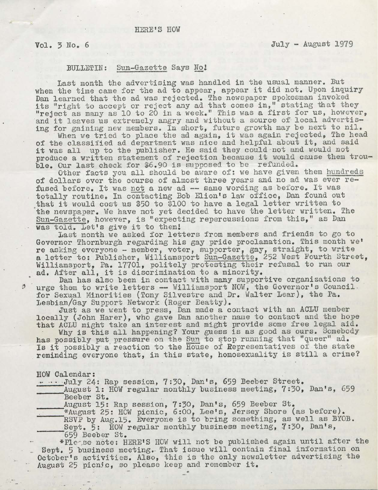#### $Vol. 3 No. 6$  July - August 1979

## BULLETIN: Sun-Gazette Says Noi

Last month the advertising was handled in the usual manner. But when the time came for the ad to appear, appear it did not. Upon inquiry Dan learned that the ad was rejected. The newspaper spokesman invoked its "right to accept or reject any ad that comes in," stating that they "reject as many as 10 to 20 in a week." This was a first for us, however, and it leaves us extremely angry and without <sup>a</sup> source of local advertising for gaining new members. In short, future growth may be next to nil.

When we tried to place the ad again, it was again rejected, The head of the classified ad department was nice and helpful about it, and said it was all up to the publisher. He said they could not and would not produce <sup>a</sup> written statement of rejection because it would cause them trouble. Our last check for \$6.90 is supposed to be refunded.

Other facts you all should be aware of: we have given them hundreds of dollars over the course of almost three years and no ad was ever refused before. It was not a new ad — same wording as before. It was totally routine. In contacting Bob Elion's law office, Dan found out that it would cost us \$50 to \$100 to have <sup>a</sup> legal letter written to the newspaper. We have not yet decided to have the letter written. The Sun-Gazette, however, is "expecting repercussions from this," as Dan was told. Let's give it to them!

Last month we asked for letters from members and friends to go to Governor Thornburgh regarding his gay pride proclamation. This month we\* re asking everyone - member, voter, supporter, gay, straight, to write a letter to: Publisher, Williamsport Sun-Gazette, <sup>252</sup> West Fourth Street, Williamsport, Pa. 17701, politely protesting their refusal to run our ad. After all, it is discrimination to <sup>a</sup> minority.

Dan has also been in contact with many supportive organizations to \$ urge them to write letters — Williamsport NOW, the Governor's Council for Sexual Minorities (Tony Silvestre and Dr. Walter Lear), the Pa. Lesbian/Gay Support Network (Roger Beatty).

Just as we went to press, Dan made a contact with an ACLU member locally (John Harer), who gave Dan another name to contact and the hope that ACLU might take an interest and might provide some free legal aid.

Why is this all happening? Your guess is as good as ours. Somebody has possibly put pressure on the Sun to stop running that "queer" ad. Is it possibly a reaction to the House of Representatives of the state reminding everyone that, in this state, homosexuality is still <sup>a</sup> crime?

#### HOW Calendar:

- • • July 24: Rap session, 7:30, Dan's, 659 Beeber Street.

August 1: HOW regular monthly business meeting, 7:30, Dan's, 659 Beeber St.

August 15: Rap session, 7:30, Dan's, 659 Beeber St.

\*August 25: HOW picnic, 6:00, Lee's, Jersey Shore (as before).

RSVP by Aug.15. Everyone is to bring something, as well as BYOB.

Sept. 5: HOW regular monthly business meeting, 7:30, Dan's, 659 Beeber St.

\*Pleese note: HERE'S HOW will not be published again until after the Sept. 5 business meeting. That issue will contain final information on October's activities. Also, this is the only newsletter advertising the October's activities. Also, this is the only new.<br>August 25 picnic, so please keep and remember it.